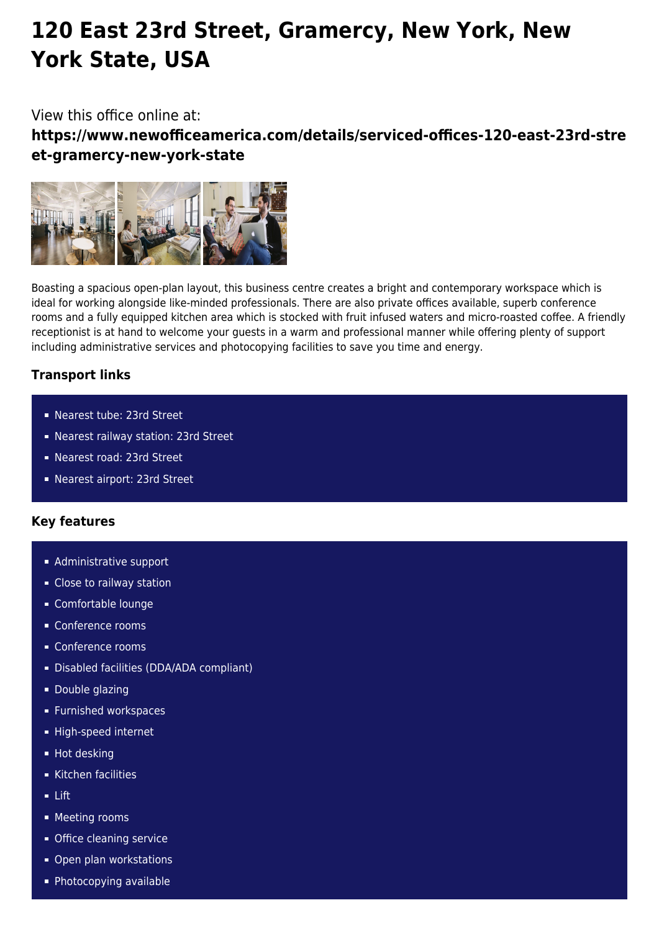# **120 East 23rd Street, Gramercy, New York, New York State, USA**

## View this office online at:

**https://www.newofficeamerica.com/details/serviced-offices-120-east-23rd-stre et-gramercy-new-york-state**



Boasting a spacious open-plan layout, this business centre creates a bright and contemporary workspace which is ideal for working alongside like-minded professionals. There are also private offices available, superb conference rooms and a fully equipped kitchen area which is stocked with fruit infused waters and micro-roasted coffee. A friendly receptionist is at hand to welcome your guests in a warm and professional manner while offering plenty of support including administrative services and photocopying facilities to save you time and energy.

## **Transport links**

- Nearest tube: 23rd Street
- Nearest railway station: 23rd Street
- Nearest road: 23rd Street
- Nearest airport: 23rd Street

#### **Key features**

- **Administrative support**
- **Close to railway station**
- Comfortable lounge
- Conference rooms
- Conference rooms
- Disabled facilities (DDA/ADA compliant)
- **Double glazing**
- **Furnished workspaces**
- High-speed internet
- **Hot desking**
- Kitchen facilities
- $-$  Lift
- **Meeting rooms**
- **Office cleaning service**
- Open plan workstations
- Photocopying available